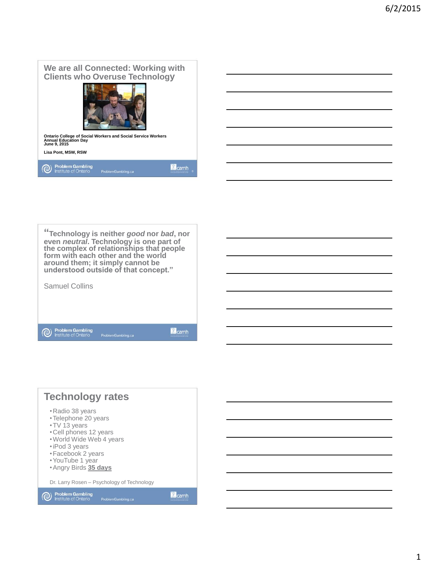## **We are all Connected: Working with Clients who Overuse Technology**



**Ontario College of Social Workers and Social Service Workers Annual Education Day June 9, 2015**



Problem Gambling<br>Institute of Ontario

Lamh



**O** Problem Gambling<br>Institute of Ontario

Camh

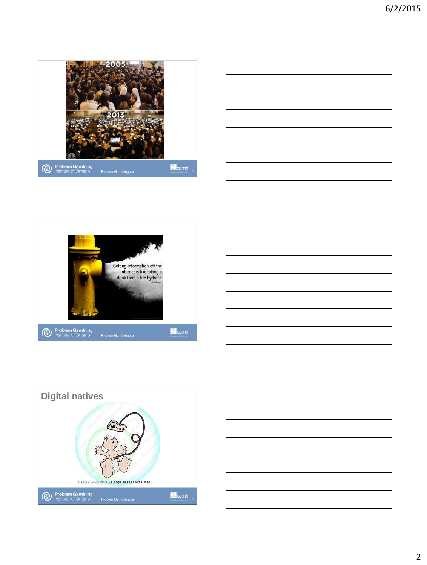









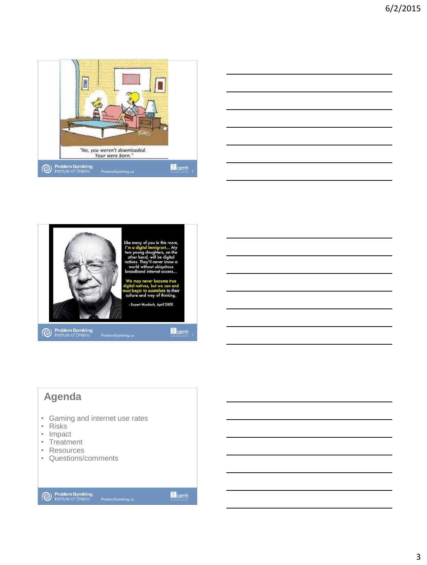





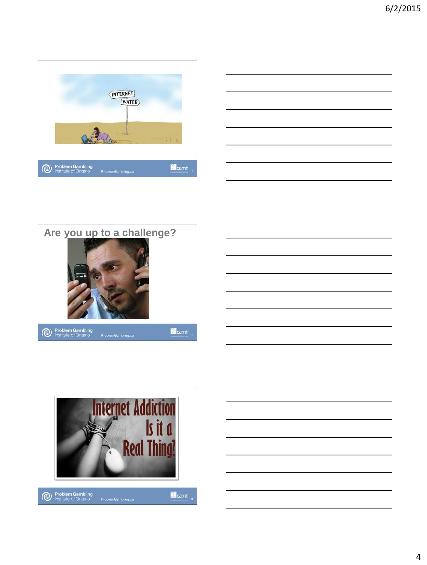







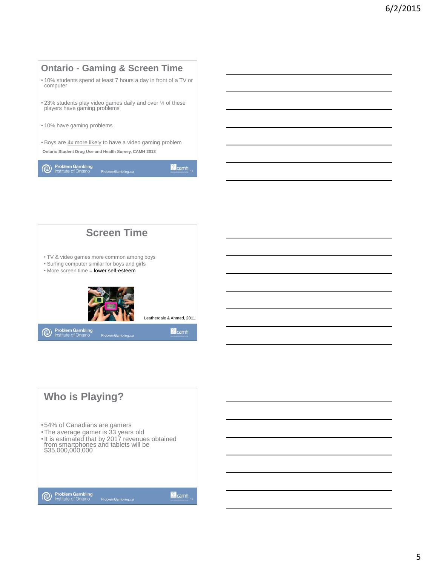



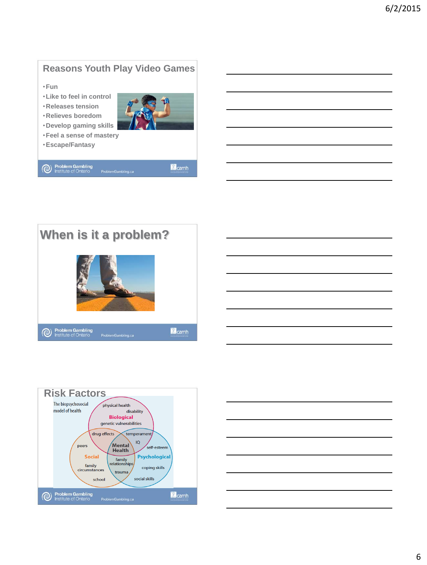# **Reasons Youth Play Video Games**

•**Fun**

- •**Like to feel in control**
- •**Releases tension**
- •**Relieves boredom** •**Develop gaming skills**



- •**Feel a sense of mastery**
- •**Escape/Fantasy**

Problem Gambling<br>Institute of Ontario

Lamh





| <u> Alexandro de la contrada de la contrada de la contrada de la contrada de la contrada de la contrada de la co</u>                                                                                                          |  |  |
|-------------------------------------------------------------------------------------------------------------------------------------------------------------------------------------------------------------------------------|--|--|
|                                                                                                                                                                                                                               |  |  |
| and the contract of the contract of the contract of the contract of the contract of the contract of the contract of                                                                                                           |  |  |
|                                                                                                                                                                                                                               |  |  |
|                                                                                                                                                                                                                               |  |  |
| the control of the control of the control of the control of the control of the control of the control of the control of the control of the control of the control of the control of the control of the control of the control |  |  |
|                                                                                                                                                                                                                               |  |  |
|                                                                                                                                                                                                                               |  |  |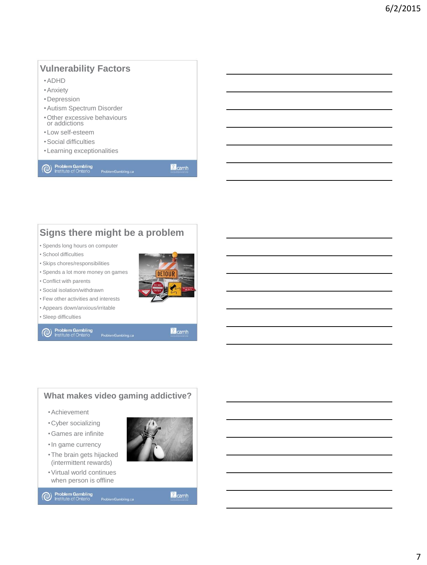## **Vulnerability Factors**

- •ADHD
- •Anxiety
- •Depression
- •Autism Spectrum Disorder
- •Other excessive behaviours or addictions
- •Low self-esteem
- •Social difficulties
- •Learning exceptionalities

Problem Gambling<br>Institute of Ontario

**M** camh

#### **Signs there might be a problem**

- Spends long hours on computer
- School difficulties
- Skips chores/responsibilities
- Spends a lot more money on games
- Conflict with parents • Social isolation/withdrawn



Camh

- Few other activities and interests
- Appears down/anxious/irritable
- Sleep difficulties

**O** Problem Gambling<br>Institute of Ontario



when person is offline

Camh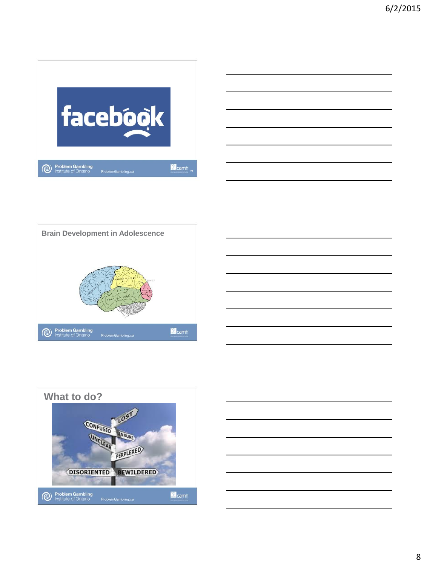





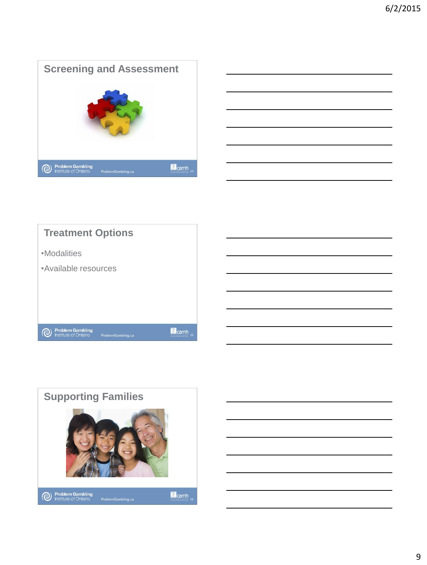





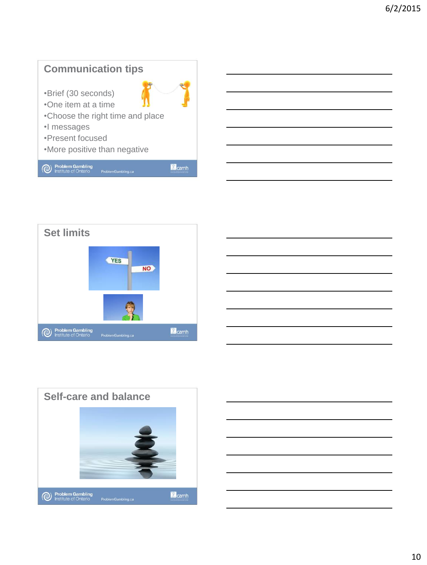







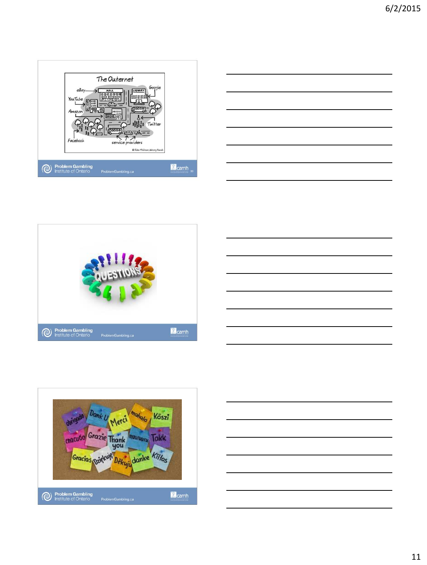